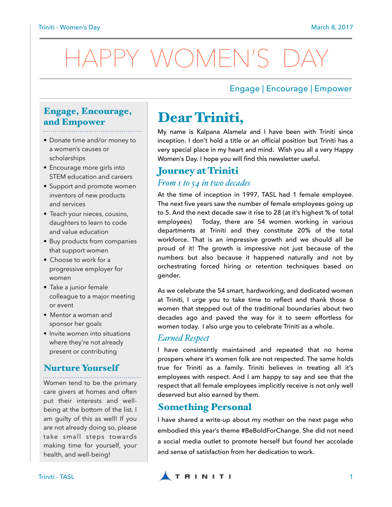# HAPPY WOMEN'S DA

#### Engage | Encourage | Empower

## Engage, Encourage, and Empower

- Donate time and/or money to a women's causes or scholarships
- Encourage more girls into STEM education and careers
- Support and promote women inventors of new products and services
- Teach your nieces, cousins, daughters to learn to code and value education
- Buy products from companies that support women
- Choose to work for a progressive employer for women
- Take a junior female colleague to a major meeting or event
- Mentor a woman and sponsor her goals
- Invite women into situations where they're not already present or contributing

#### Nurture Yourself

Women tend to be the primary care givers at homes and often put their interests and wellbeing at the bottom of the list. I am guilty of this as well! If you are not already doing so, please take small steps towards making time for yourself, your health, and well-being!

# Dear Triniti,

My name is Kalpana Alamela and I have been with Triniti since inception. I don't hold a title or an official position but Triniti has a very special place in my heart and mind. Wish you all a very Happy Women's Day. I hope you will find this newsletter useful.

#### Journey at Triniti

#### *From 1 to 54 in two decades*

At the time of inception in 1997, TASL had 1 female employee. The next five years saw the number of female employees going up to 5. And the next decade saw it rise to 28 (at it's highest % of total employees) Today, there are 54 women working in various departments at Triniti and they constitute 20% of the total workforce. That is an impressive growth and we should all be proud of it! The growth is impressive not just because of the numbers but also because it happened naturally and not by orchestrating forced hiring or retention techniques based on gender.

As we celebrate the 54 smart, hardworking, and dedicated women at Triniti, I urge you to take time to reflect and thank those 6 women that stepped out of the traditional boundaries about two decades ago and paved the way for it to seem effortless for women today. I also urge you to celebrate Triniti as a whole.

#### *Earned Respect*

I have consistently maintained and repeated that no home prospers where it's women folk are not respected. The same holds true for Triniti as a family. Triniti believes in treating all it's employees with respect. And I am happy to say and see that the respect that all female employees implicitly receive is not only well deserved but also earned by them.

#### Something Personal

I have shared a write-up about my mother on the next page who embodied this year's theme #BeBoldForChange. She did not need a social media outlet to promote herself but found her accolade and sense of satisfaction from her dedication to work.